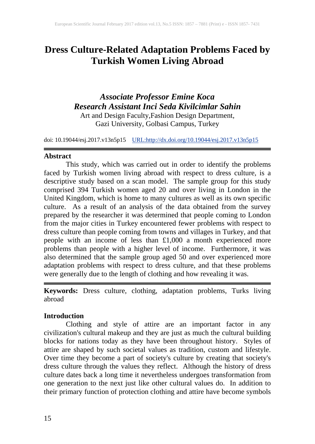# **Dress Culture-Related Adaptation Problems Faced by Turkish Women Living Abroad**

## *Associate Professor Emine Koca Research Assistant Inci Seda Kivilcimlar Sahin* Art and Design Faculty,Fashion Design Department,

Gazi University, Golbasi Campus, Turkey

doi: 10.19044/esj.2017.v13n5p15 [URL:http://dx.doi.org/10.19044/esj.2017.v13n5p15](http://dx.doi.org/10.19044/esj.2017.v13n5p15)

#### **Abstract**

This study, which was carried out in order to identify the problems faced by Turkish women living abroad with respect to dress culture, is a descriptive study based on a scan model. The sample group for this study comprised 394 Turkish women aged 20 and over living in London in the United Kingdom, which is home to many cultures as well as its own specific culture. As a result of an analysis of the data obtained from the survey prepared by the researcher it was determined that people coming to London from the major cities in Turkey encountered fewer problems with respect to dress culture than people coming from towns and villages in Turkey, and that people with an income of less than £1,000 a month experienced more problems than people with a higher level of income. Furthermore, it was also determined that the sample group aged 50 and over experienced more adaptation problems with respect to dress culture, and that these problems were generally due to the length of clothing and how revealing it was.

**Keywords:** Dress culture, clothing, adaptation problems, Turks living abroad

### **Introduction**

Clothing and style of attire are an important factor in any civilization's cultural makeup and they are just as much the cultural building blocks for nations today as they have been throughout history. Styles of attire are shaped by such societal values as tradition, custom and lifestyle. Over time they become a part of society's culture by creating that society's dress culture through the values they reflect. Although the history of dress culture dates back a long time it nevertheless undergoes transformation from one generation to the next just like other cultural values do. In addition to their primary function of protection clothing and attire have become symbols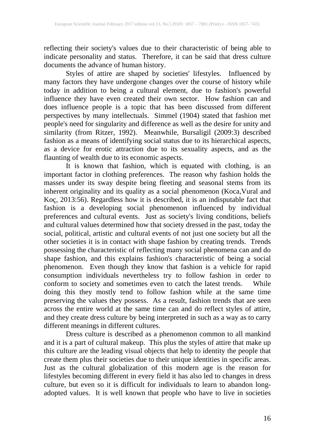reflecting their society's values due to their characteristic of being able to indicate personality and status. Therefore, it can be said that dress culture documents the advance of human history.

Styles of attire are shaped by societies' lifestyles. Influenced by many factors they have undergone changes over the course of history while today in addition to being a cultural element, due to fashion's powerful influence they have even created their own sector. How fashion can and does influence people is a topic that has been discussed from different perspectives by many intellectuals. Simmel (1904) stated that fashion met people's need for singularity and difference as well as the desire for unity and similarity (from Ritzer, 1992). Meanwhile, Bursaligil (2009:3) described fashion as a means of identifying social status due to its hierarchical aspects, as a device for erotic attraction due to its sexuality aspects, and as the flaunting of wealth due to its economic aspects.

It is known that fashion, which is equated with clothing, is an important factor in clothing preferences. The reason why fashion holds the masses under its sway despite being fleeting and seasonal stems from its inherent originality and its quality as a social phenomenon (Koca,Vural and Koç, 2013:56). Regardless how it is described, it is an indisputable fact that fashion is a developing social phenomenon influenced by individual preferences and cultural events. Just as society's living conditions, beliefs and cultural values determined how that society dressed in the past, today the social, political, artistic and cultural events of not just one society but all the other societies it is in contact with shape fashion by creating trends. Trends possessing the characteristic of reflecting many social phenomena can and do shape fashion, and this explains fashion's characteristic of being a social phenomenon. Even though they know that fashion is a vehicle for rapid consumption individuals nevertheless try to follow fashion in order to conform to society and sometimes even to catch the latest trends. While doing this they mostly tend to follow fashion while at the same time preserving the values they possess. As a result, fashion trends that are seen across the entire world at the same time can and do reflect styles of attire, and they create dress culture by being interpreted in such as a way as to carry different meanings in different cultures.

Dress culture is described as a phenomenon common to all mankind and it is a part of cultural makeup. This plus the styles of attire that make up this culture are the leading visual objects that help to identity the people that create them plus their societies due to their unique identities in specific areas. Just as the cultural globalization of this modern age is the reason for lifestyles becoming different in every field it has also led to changes in dress culture, but even so it is difficult for individuals to learn to abandon longadopted values. It is well known that people who have to live in societies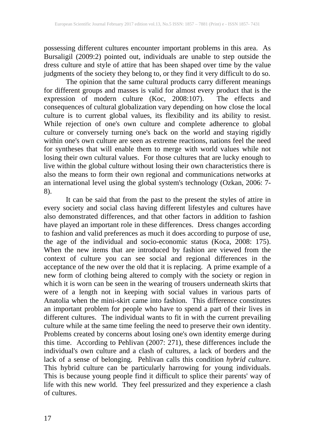possessing different cultures encounter important problems in this area. As Bursaligil (2009:2) pointed out, individuals are unable to step outside the dress culture and style of attire that has been shaped over time by the value judgments of the society they belong to, or they find it very difficult to do so.

The opinion that the same cultural products carry different meanings for different groups and masses is valid for almost every product that is the expression of modern culture (Koc, 2008:107). The effects and consequences of cultural globalization vary depending on how close the local culture is to current global values, its flexibility and its ability to resist. While rejection of one's own culture and complete adherence to global culture or conversely turning one's back on the world and staying rigidly within one's own culture are seen as extreme reactions, nations feel the need for syntheses that will enable them to merge with world values while not losing their own cultural values. For those cultures that are lucky enough to live within the global culture without losing their own characteristics there is also the means to form their own regional and communications networks at an international level using the global system's technology (Ozkan, 2006: 7- 8).

It can be said that from the past to the present the styles of attire in every society and social class having different lifestyles and cultures have also demonstrated differences, and that other factors in addition to fashion have played an important role in these differences. Dress changes according to fashion and valid preferences as much it does according to purpose of use, the age of the individual and socio-economic status (Koca, 2008: 175). When the new items that are introduced by fashion are viewed from the context of culture you can see social and regional differences in the acceptance of the new over the old that it is replacing. A prime example of a new form of clothing being altered to comply with the society or region in which it is worn can be seen in the wearing of trousers underneath skirts that were of a length not in keeping with social values in various parts of Anatolia when the mini-skirt came into fashion. This difference constitutes an important problem for people who have to spend a part of their lives in different cultures. The individual wants to fit in with the current prevailing culture while at the same time feeling the need to preserve their own identity. Problems created by concerns about losing one's own identity emerge during this time. According to Pehlivan (2007: 271), these differences include the individual's own culture and a clash of cultures, a lack of borders and the lack of a sense of belonging. Pehlivan calls this condition *hybrid culture.* This hybrid culture can be particularly harrowing for young individuals. This is because young people find it difficult to splice their parents' way of life with this new world. They feel pressurized and they experience a clash of cultures.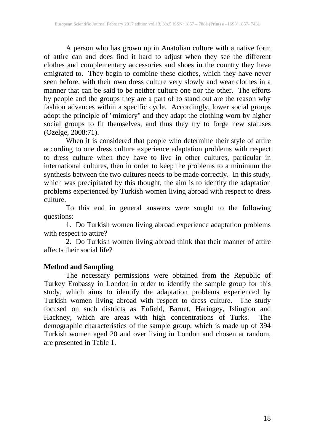A person who has grown up in Anatolian culture with a native form of attire can and does find it hard to adjust when they see the different clothes and complementary accessories and shoes in the country they have emigrated to. They begin to combine these clothes, which they have never seen before, with their own dress culture very slowly and wear clothes in a manner that can be said to be neither culture one nor the other. The efforts by people and the groups they are a part of to stand out are the reason why fashion advances within a specific cycle. Accordingly, lower social groups adopt the principle of "mimicry" and they adapt the clothing worn by higher social groups to fit themselves, and thus they try to forge new statuses (Ozelge, 2008:71).

When it is considered that people who determine their style of attire according to one dress culture experience adaptation problems with respect to dress culture when they have to live in other cultures, particular in international cultures, then in order to keep the problems to a minimum the synthesis between the two cultures needs to be made correctly. In this study, which was precipitated by this thought, the aim is to identity the adaptation problems experienced by Turkish women living abroad with respect to dress culture.

To this end in general answers were sought to the following questions:

1. Do Turkish women living abroad experience adaptation problems with respect to attire?

2. Do Turkish women living abroad think that their manner of attire affects their social life?

### **Method and Sampling**

The necessary permissions were obtained from the Republic of Turkey Embassy in London in order to identify the sample group for this study, which aims to identify the adaptation problems experienced by Turkish women living abroad with respect to dress culture. The study focused on such districts as Enfield, Barnet, Haringey, Islington and Hackney, which are areas with high concentrations of Turks. The demographic characteristics of the sample group, which is made up of 394 Turkish women aged 20 and over living in London and chosen at random, are presented in Table 1.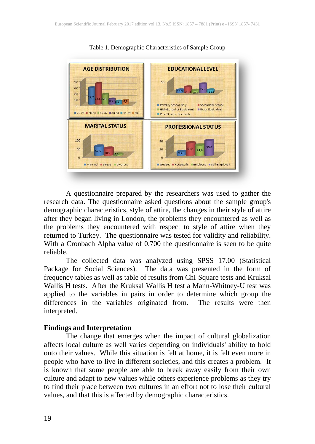

Table 1. Demographic Characteristics of Sample Group

A questionnaire prepared by the researchers was used to gather the research data. The questionnaire asked questions about the sample group's demographic characteristics, style of attire, the changes in their style of attire after they began living in London, the problems they encountered as well as the problems they encountered with respect to style of attire when they returned to Turkey. The questionnaire was tested for validity and reliability. With a Cronbach Alpha value of 0.700 the questionnaire is seen to be quite reliable.

The collected data was analyzed using SPSS 17.00 (Statistical Package for Social Sciences). The data was presented in the form of frequency tables as well as table of results from Chi-Square tests and Kruksal Wallis H tests. After the Kruksal Wallis H test a Mann-Whitney-U test was applied to the variables in pairs in order to determine which group the differences in the variables originated from. The results were then interpreted.

#### **Findings and Interpretation**

The change that emerges when the impact of cultural globalization affects local culture as well varies depending on individuals' ability to hold onto their values. While this situation is felt at home, it is felt even more in people who have to live in different societies, and this creates a problem. It is known that some people are able to break away easily from their own culture and adapt to new values while others experience problems as they try to find their place between two cultures in an effort not to lose their cultural values, and that this is affected by demographic characteristics.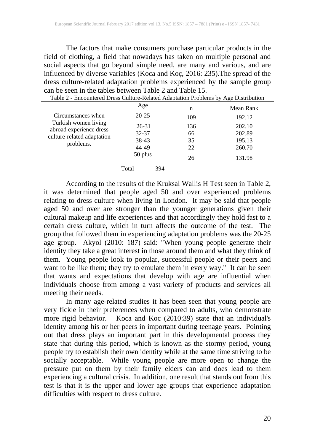The factors that make consumers purchase particular products in the field of clothing, a field that nowadays has taken on multiple personal and social aspects that go beyond simple need, are many and various, and are influenced by diverse variables (Koca and Koç, 2016: 235).The spread of the dress culture-related adaptation problems experienced by the sample group can be seen in the tables between Table 2 and Table 15.

|                                                 | Age       | n   | Mean Rank |
|-------------------------------------------------|-----------|-----|-----------|
| Circumstances when                              | $20 - 25$ | 109 | 192.12    |
| Turkish women living<br>abroad experience dress | 26-31     | 136 | 202.10    |
| culture-related adaptation<br>problems.         | 32-37     | 66  | 202.89    |
|                                                 | 38-43     | 35  | 195.13    |
|                                                 | 44-49     | 22  | 260.70    |
|                                                 | 50 plus   | 26  | 131.98    |
|                                                 | Total     | 394 |           |

Table 2 - Encountered Dress Culture-Related Adaptation Problems by Age Distribution

According to the results of the Kruksal Wallis H Test seen in Table 2, it was determined that people aged 50 and over experienced problems relating to dress culture when living in London. It may be said that people aged 50 and over are stronger than the younger generations given their cultural makeup and life experiences and that accordingly they hold fast to a certain dress culture, which in turn affects the outcome of the test. The group that followed them in experiencing adaptation problems was the 20-25 age group. Akyol (2010: 187) said: "When young people generate their identity they take a great interest in those around them and what they think of them. Young people look to popular, successful people or their peers and want to be like them; they try to emulate them in every way." It can be seen that wants and expectations that develop with age are influential when individuals choose from among a vast variety of products and services all meeting their needs.

In many age-related studies it has been seen that young people are very fickle in their preferences when compared to adults, who demonstrate more rigid behavior. Koca and Koc (2010:39) state that an individual's identity among his or her peers in important during teenage years. Pointing out that dress plays an important part in this developmental process they state that during this period, which is known as the stormy period, young people try to establish their own identity while at the same time striving to be socially acceptable. While young people are more open to change the pressure put on them by their family elders can and does lead to them experiencing a cultural crisis. In addition, one result that stands out from this test is that it is the upper and lower age groups that experience adaptation difficulties with respect to dress culture.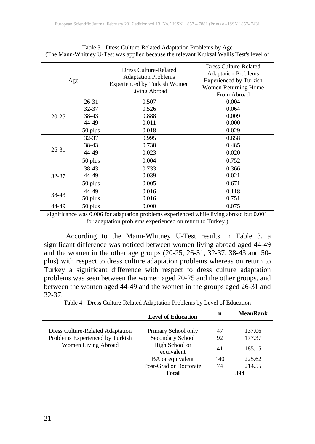|           | Age     | <b>Dress Culture-Related</b><br><b>Adaptation Problems</b><br><b>Experienced by Turkish Women</b><br>Living Abroad | <b>Dress Culture-Related</b><br><b>Adaptation Problems</b><br><b>Experienced by Turkish</b><br>Women Returning Home<br>From Abroad |
|-----------|---------|--------------------------------------------------------------------------------------------------------------------|------------------------------------------------------------------------------------------------------------------------------------|
|           | 26-31   | 0.507                                                                                                              | 0.004                                                                                                                              |
|           | 32-37   | 0.526                                                                                                              | 0.064                                                                                                                              |
| $20 - 25$ | 38-43   | 0.888                                                                                                              | 0.009                                                                                                                              |
|           | 44-49   | 0.011                                                                                                              | 0.000                                                                                                                              |
|           | 50 plus | 0.018                                                                                                              | 0.029                                                                                                                              |
|           | 32-37   | 0.995                                                                                                              | 0.658                                                                                                                              |
|           | 38-43   | 0.738                                                                                                              | 0.485                                                                                                                              |
| 26-31     | 44-49   | 0.023                                                                                                              | 0.020                                                                                                                              |
|           | 50 plus | 0.004                                                                                                              | 0.752                                                                                                                              |
|           | 38-43   | 0.733                                                                                                              | 0.366                                                                                                                              |
| 32-37     | 44-49   | 0.039                                                                                                              | 0.021                                                                                                                              |
|           | 50 plus | 0.005                                                                                                              | 0.671                                                                                                                              |
|           | 44-49   | 0.016                                                                                                              | 0.118                                                                                                                              |
| 38-43     | 50 plus | 0.016                                                                                                              | 0.751                                                                                                                              |
| 44-49     | 50 plus | 0.000                                                                                                              | 0.075                                                                                                                              |

Table 3 - Dress Culture-Related Adaptation Problems by Age (The Mann-Whitney U-Test was applied because the relevant Kruksal Wallis Test's level of

significance was 0.006 for adaptation problems experienced while living abroad but 0.001 for adaptation problems experienced on return to Turkey.)

According to the Mann-Whitney U-Test results in Table 3, a significant difference was noticed between women living abroad aged 44-49 and the women in the other age groups (20-25, 26-31, 32-37, 38-43 and 50 plus) with respect to dress culture adaptation problems whereas on return to Turkey a significant difference with respect to dress culture adaptation problems was seen between the women aged 20-25 and the other groups, and between the women aged 44-49 and the women in the groups aged 26-31 and 32-37.

|                                         | <b>Level of Education</b>    | n   | <b>MeanRank</b> |
|-----------------------------------------|------------------------------|-----|-----------------|
| <b>Dress Culture-Related Adaptation</b> | Primary School only          | 47  | 137.06          |
| Problems Experienced by Turkish         | Secondary School             | 92  | 177.37          |
| Women Living Abroad                     | High School or<br>equivalent | 41  | 185.15          |
|                                         | BA or equivalent             | 140 | 225.62          |
|                                         | Post-Grad or Doctorate       | 74  | 214.55          |
|                                         | <b>Total</b>                 |     | 394             |

Table 4 - Dress Culture-Related Adaptation Problems by Level of Education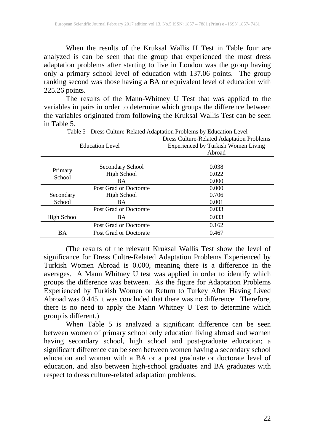When the results of the Kruksal Wallis H Test in Table four are analyzed is can be seen that the group that experienced the most dress adaptation problems after starting to live in London was the group having only a primary school level of education with 137.06 points. The group ranking second was those having a BA or equivalent level of education with 225.26 points.

The results of the Mann-Whitney U Test that was applied to the variables in pairs in order to determine which groups the difference between the variables originated from following the Kruksal Wallis Test can be seen in Table 5.

|                        | <b>Dress Culture-Related Adaptation Problems</b> |
|------------------------|--------------------------------------------------|
| <b>Education Level</b> | Experienced by Turkish Women Living              |
|                        | Abroad                                           |
|                        |                                                  |
| Secondary School       | 0.038                                            |
| High School            | 0.022                                            |
| <b>BA</b>              | 0.000                                            |
| Post Grad or Doctorate | 0.000                                            |
| High School            | 0.706                                            |
| <b>BA</b>              | 0.001                                            |
| Post Grad or Doctorate | 0.033                                            |
| <b>BA</b>              | 0.033                                            |
| Post Grad or Doctorate | 0.162                                            |
| Post Grad or Doctorate | 0.467                                            |
|                        |                                                  |

Table 5 - Dress Culture-Related Adaptation Problems by Education Level

(The results of the relevant Kruksal Wallis Test show the level of significance for Dress Cultre-Related Adaptation Problems Experienced by Turkish Women Abroad is 0.000, meaning there is a difference in the averages. A Mann Whitney U test was applied in order to identify which groups the difference was between. As the figure for Adaptation Problems Experienced by Turkish Women on Return to Turkey After Having Lived Abroad was 0.445 it was concluded that there was no difference. Therefore, there is no need to apply the Mann Whitney U Test to determine which group is different.)

When Table 5 is analyzed a significant difference can be seen between women of primary school only education living abroad and women having secondary school, high school and post-graduate education; a significant difference can be seen between women having a secondary school education and women with a BA or a post graduate or doctorate level of education, and also between high-school graduates and BA graduates with respect to dress culture-related adaptation problems.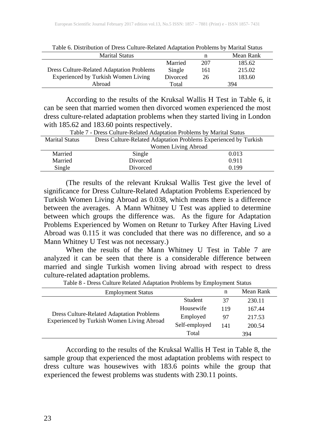| <b>Marital Status</b>                            |          | n   | Mean Rank |  |
|--------------------------------------------------|----------|-----|-----------|--|
|                                                  | Married  | 207 | 185.62    |  |
| <b>Dress Culture-Related Adaptation Problems</b> | Single   | 161 | 215.02    |  |
| Experienced by Turkish Women Living              | Divorced | 26  | 183.60    |  |
| Abroad                                           | Total    |     | 394       |  |

Table 6. Distribution of Dress Culture-Related Adaptation Problems by Marital Status

According to the results of the Kruksal Wallis H Test in Table 6, it can be seen that married women then divorced women experienced the most dress culture-related adaptation problems when they started living in London with 185.62 and 183.60 points respectively.

|                       | Table 7 - Dress Culture-Related Adaptation Problems by Marital Status |       |  |
|-----------------------|-----------------------------------------------------------------------|-------|--|
| <b>Marital Status</b> | Dress Culture-Related Adaptation Problems Experienced by Turkish      |       |  |
|                       | Women Living Abroad                                                   |       |  |
| Married               | Single                                                                | 0.013 |  |
| Married               | Divorced                                                              | 0.911 |  |
| Single                | Divorced                                                              | 0.199 |  |

(The results of the relevant Kruksal Wallis Test give the level of significance for Dress Culture-Related Adaptation Problems Experienced by Turkish Women Living Abroad as 0.038, which means there is a difference between the averages. A Mann Whitney U Test was applied to determine between which groups the difference was. As the figure for Adaptation Problems Experienced by Women on Retunr to Turkey After Having Lived Abroad was 0.115 it was concluded that there was no difference, and so a Mann Whitney U Test was not necessary.)

When the results of the Mann Whitney U Test in Table 7 are analyzed it can be seen that there is a considerable difference between married and single Turkish women living abroad with respect to dress culture-related adaptation problems.

| <b>Employment Status</b>                                                                       |               | n   | Mean Rank |
|------------------------------------------------------------------------------------------------|---------------|-----|-----------|
| <b>Dress Culture-Related Adaptation Problems</b><br>Experienced by Turkish Women Living Abroad | Student       | 37  | 230.11    |
|                                                                                                | Housewife     | 119 | 167.44    |
|                                                                                                | Employed      | 97  | 217.53    |
|                                                                                                | Self-employed | 141 | 200.54    |
|                                                                                                | Total         |     | 394       |

Table 8 - Dress Culture Related Adaptation Problems by Employment Status

According to the results of the Kruksal Wallis H Test in Table 8, the sample group that experienced the most adaptation problems with respect to dress culture was housewives with 183.6 points while the group that experienced the fewest problems was students with 230.11 points.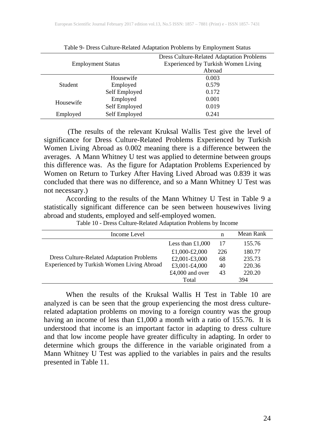| <b>Employment Status</b> |                       | <b>Dress Culture-Related Adaptation Problems</b><br><b>Experienced by Turkish Women Living</b><br>Abroad |
|--------------------------|-----------------------|----------------------------------------------------------------------------------------------------------|
| <b>Student</b>           | Housewife<br>Employed | 0.003<br>0.579                                                                                           |
|                          | Self Employed         | 0.172                                                                                                    |
| Housewife                | Employed              | 0.001                                                                                                    |
|                          | Self Employed         | 0.019                                                                                                    |
| Employed                 | Self Employed         | 0.241                                                                                                    |

Table 9- Dress Culture-Related Adaptation Problems by Employment Status

(The results of the relevant Kruksal Wallis Test give the level of significance for Dress Culture-Related Problems Experienced by Turkish Women Living Abroad as 0.002 meaning there is a difference between the averages. A Mann Whitney U test was applied to determine between groups this difference was. As the figure for Adaptation Problems Experienced by Women on Return to Turkey After Having Lived Abroad was 0.839 it was concluded that there was no difference, and so a Mann Whitney U Test was not necessary.)

According to the results of the Mann Whitney U Test in Table 9 a statistically significant difference can be seen between housewives living abroad and students, employed and self-employed women.

| Income Level                                     |                    | n   | Mean Rank |
|--------------------------------------------------|--------------------|-----|-----------|
|                                                  | Less than $£1,000$ | 17  | 155.76    |
|                                                  | £1,000-£2,000      | 226 | 180.77    |
| <b>Dress Culture-Related Adaptation Problems</b> | £2,001-£3,000      | 68  | 235.73    |
| Experienced by Turkish Women Living Abroad       | £3,001-£4,000      | 40  | 220.36    |
|                                                  | £4,000 and over    | 43  | 220.20    |
|                                                  | Total              |     | 394       |

Table 10 - Dress Culture-Related Adaptation Problems by Income

When the results of the Kruksal Wallis H Test in Table 10 are analyzed is can be seen that the group experiencing the most dress culturerelated adaptation problems on moving to a foreign country was the group having an income of less than £1,000 a month with a ratio of 155.76. It is understood that income is an important factor in adapting to dress culture and that low income people have greater difficulty in adapting. In order to determine which groups the difference in the variable originated from a Mann Whitney U Test was applied to the variables in pairs and the results presented in Table 11.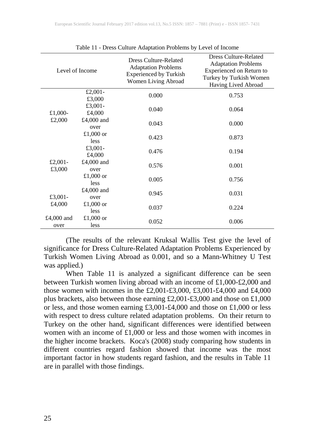|                    | Level of Income    | <b>Dress Culture-Related</b><br><b>Adaptation Problems</b><br><b>Experienced by Turkish</b><br>Women Living Abroad | <b>Dress Culture-Related</b><br><b>Adaptation Problems</b><br>Experienced on Return to<br>Turkey by Turkish Women<br>Having Lived Abroad |
|--------------------|--------------------|--------------------------------------------------------------------------------------------------------------------|------------------------------------------------------------------------------------------------------------------------------------------|
|                    | £2,001-<br>£3,000  | 0.000                                                                                                              | 0.753                                                                                                                                    |
| £1,000-            | £3,001-<br>£4,000  | 0.040                                                                                                              | 0.064                                                                                                                                    |
| £2,000             | £4,000 and<br>over | 0.043                                                                                                              | 0.000                                                                                                                                    |
|                    | £1,000 or<br>less  | 0.423                                                                                                              | 0.873                                                                                                                                    |
|                    | £3,001-<br>£4,000  | 0.476                                                                                                              | 0.194                                                                                                                                    |
| £2,001-<br>£3,000  | £4,000 and<br>over | 0.576                                                                                                              | 0.001                                                                                                                                    |
|                    | £1,000 or<br>less  | 0.005                                                                                                              | 0.756                                                                                                                                    |
| £3,001-            | £4,000 and<br>over | 0.945                                                                                                              | 0.031                                                                                                                                    |
| £4,000             | £1,000 or<br>less  | 0.037                                                                                                              | 0.224                                                                                                                                    |
| £4,000 and<br>over | £1,000 or<br>less  | 0.052                                                                                                              | 0.006                                                                                                                                    |

Table 11 - Dress Culture Adaptation Problems by Level of Income

(The results of the relevant Kruksal Wallis Test give the level of significance for Dress Culture-Related Adaptation Problems Experienced by Turkish Women Living Abroad as 0.001, and so a Mann-Whitney U Test was applied.)

When Table 11 is analyzed a significant difference can be seen between Turkish women living abroad with an income of £1,000-£2,000 and those women with incomes in the £2,001-£3,000, £3,001-£4,000 and £4,000 plus brackets, also between those earning £2,001-£3,000 and those on £1,000 or less, and those women earning  $£3,001-E4,000$  and those on £1,000 or less with respect to dress culture related adaptation problems. On their return to Turkey on the other hand, significant differences were identified between women with an income of £1,000 or less and those women with incomes in the higher income brackets. Koca's (2008) study comparing how students in different countries regard fashion showed that income was the most important factor in how students regard fashion, and the results in Table 11 are in parallel with those findings.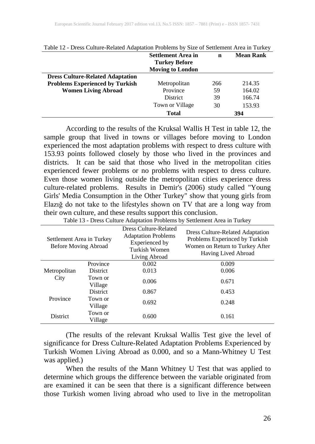|                                         | <b>Settlement Area in</b><br><b>Turkey Before</b><br><b>Moving to London</b> | n   | <b>Mean Rank</b> |
|-----------------------------------------|------------------------------------------------------------------------------|-----|------------------|
| <b>Dress Culture-Related Adaptation</b> |                                                                              |     |                  |
| <b>Problems Experienced by Turkish</b>  | Metropolitan                                                                 | 266 | 214.35           |
| <b>Women Living Abroad</b>              | Province                                                                     | 59  | 164.02           |
|                                         | District                                                                     | 39  | 166.74           |
|                                         | Town or Village                                                              | 30  | 153.93           |
|                                         | <b>Total</b>                                                                 |     | 394              |

Table 12 - Dress Culture-Related Adaptation Problems by Size of Settlement Area in Turkey

According to the results of the Kruksal Wallis H Test in table 12, the sample group that lived in towns or villages before moving to London experienced the most adaptation problems with respect to dress culture with 153.93 points followed closely by those who lived in the provinces and districts. It can be said that those who lived in the metropolitan cities experienced fewer problems or no problems with respect to dress culture. Even those women living outside the metropolitan cities experience dress culture-related problems. Results in Demir's (2006) study called "Young Girls' Media Consumption in the Other Turkey" show that young girls from Elazığ do not take to the lifestyles shown on TV that are a long way from their own culture, and these results support this conclusion.

| Table 13 - Dress Culture Adaptation Problems by Settlement Area in Turkey |                            |                                                                                                         |                                                                                                                              |  |
|---------------------------------------------------------------------------|----------------------------|---------------------------------------------------------------------------------------------------------|------------------------------------------------------------------------------------------------------------------------------|--|
| Settlement Area in Turkey<br>Before Moving Abroad                         |                            | Dress Culture-Related<br><b>Adaptation Problems</b><br>Experienced by<br>Turkish Women<br>Living Abroad | Dress Culture-Related Adaptation<br>Problems Experinced by Turkish<br>Women on Return to Turkey After<br>Having Lived Abroad |  |
|                                                                           | Province                   | 0.002                                                                                                   | 0.009                                                                                                                        |  |
| Metropolitan<br>City                                                      | <b>District</b><br>Town or | 0.013                                                                                                   | 0.006                                                                                                                        |  |
|                                                                           | Village                    | 0.006                                                                                                   | 0.671                                                                                                                        |  |
|                                                                           | <b>District</b>            | 0.867                                                                                                   | 0.453                                                                                                                        |  |
| Province                                                                  | Town or<br>Village         | 0.692                                                                                                   | 0.248                                                                                                                        |  |
| District                                                                  | Town or<br>Village         | 0.600                                                                                                   | 0.161                                                                                                                        |  |

(The results of the relevant Kruksal Wallis Test give the level of significance for Dress Culture-Related Adaptation Problems Experienced by Turkish Women Living Abroad as 0.000, and so a Mann-Whitney U Test was applied.)

When the results of the Mann Whitney U Test that was applied to determine which groups the difference between the variable originated from are examined it can be seen that there is a significant difference between those Turkish women living abroad who used to live in the metropolitan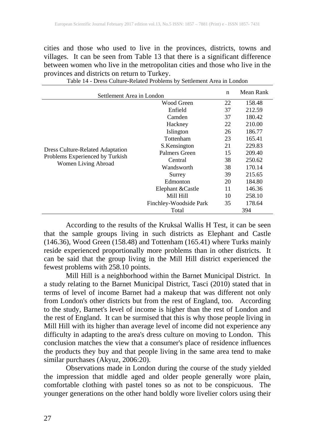cities and those who used to live in the provinces, districts, towns and villages. It can be seen from Table 13 that there is a significant difference between women who live in the metropolitan cities and those who live in the provinces and districts on return to Turkey.

| Settlement Area in London                                                                         |                        |    | Mean Rank |  |  |
|---------------------------------------------------------------------------------------------------|------------------------|----|-----------|--|--|
| <b>Dress Culture-Related Adaptation</b><br>Problems Experienced by Turkish<br>Women Living Abroad | Wood Green             | 22 | 158.48    |  |  |
|                                                                                                   | Enfield                | 37 | 212.59    |  |  |
|                                                                                                   | Camden                 | 37 | 180.42    |  |  |
|                                                                                                   | Hackney                | 22 | 210.00    |  |  |
|                                                                                                   | Islington              | 26 | 186.77    |  |  |
|                                                                                                   | Tottenham              | 23 | 165.41    |  |  |
|                                                                                                   | S.Kensington           | 21 | 229.83    |  |  |
|                                                                                                   | Palmers Green          | 15 | 209.40    |  |  |
|                                                                                                   | Central                | 38 | 250.62    |  |  |
|                                                                                                   | Wandsworth             | 38 | 170.14    |  |  |
|                                                                                                   | Surrey                 | 39 | 215.65    |  |  |
|                                                                                                   | Edmonton               | 20 | 184.80    |  |  |
|                                                                                                   | Elephant & Castle      | 11 | 146.36    |  |  |
|                                                                                                   | Mill Hill              | 10 | 258.10    |  |  |
|                                                                                                   | Finchley-Woodside Park | 35 | 178.64    |  |  |
|                                                                                                   | Total                  |    | 394       |  |  |

Table 14 - Dress Culture-Related Problems by Settlement Area in London

According to the results of the Kruksal Wallis H Test, it can be seen that the sample groups living in such districts as Elephant and Castle (146.36), Wood Green (158.48) and Tottenham (165.41) where Turks mainly reside experienced proportionally more problems than in other districts. It can be said that the group living in the Mill Hill district experienced the fewest problems with 258.10 points.

Mill Hill is a neighborhood within the Barnet Municipal District. In a study relating to the Barnet Municipal District, Tasci (2010) stated that in terms of level of income Barnet had a makeup that was different not only from London's other districts but from the rest of England, too. According to the study, Barnet's level of income is higher than the rest of London and the rest of England. It can be surmised that this is why those people living in Mill Hill with its higher than average level of income did not experience any difficulty in adapting to the area's dress culture on moving to London. This conclusion matches the view that a consumer's place of residence influences the products they buy and that people living in the same area tend to make similar purchases (Akyuz, 2006:20).

Observations made in London during the course of the study yielded the impression that middle aged and older people generally wore plain, comfortable clothing with pastel tones so as not to be conspicuous. The younger generations on the other hand boldly wore livelier colors using their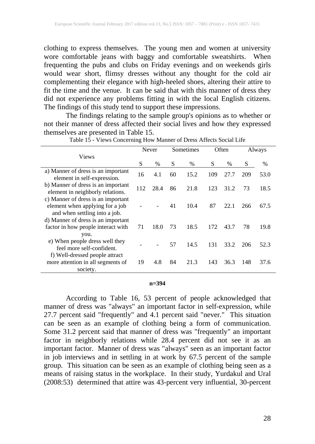clothing to express themselves. The young men and women at university wore comfortable jeans with baggy and comfortable sweatshirts. When frequenting the pubs and clubs on Friday evenings and on weekends girls would wear short, flimsy dresses without any thought for the cold air complementing their elegance with high-heeled shoes, altering their attire to fit the time and the venue. It can be said that with this manner of dress they did not experience any problems fitting in with the local English citizens. The findings of this study tend to support these impressions.

The findings relating to the sample group's opinions as to whether or not their manner of dress affected their social lives and how they expressed themselves are presented in Table 15.

|                                                                                                        |     | Never         |    | Sometimes |     | Often         |     | Always |  |
|--------------------------------------------------------------------------------------------------------|-----|---------------|----|-----------|-----|---------------|-----|--------|--|
| <b>Views</b>                                                                                           | S   | $\frac{0}{0}$ | S  | $\%$      | S   | $\frac{0}{0}$ | S   | $\%$   |  |
| a) Manner of dress is an important<br>element in self-expression.                                      | 16  | 4.1           | 60 | 15.2      | 109 | 27.7          | 209 | 53.0   |  |
| b) Manner of dress is an important<br>element in neighborly relations.                                 | 112 | 28.4          | 86 | 21.8      | 123 | 31.2          | 73  | 18.5   |  |
| c) Manner of dress is an important<br>element when applying for a job<br>and when settling into a job. |     |               | 41 | 10.4      | 87  | 22.1          | 266 | 67.5   |  |
| d) Manner of dress is an important<br>factor in how people interact with<br>you.                       | 71  | 18.0          | 73 | 18.5      | 172 | 43.7          | 78  | 19.8   |  |
| e) When people dress well they<br>feel more self-confident.                                            |     |               | 57 | 14.5      | 131 | 33.2          | 206 | 52.3   |  |
| f) Well-dressed people attract<br>more attention in all segments of<br>society.                        | 19  | 4.8           | 84 | 21.3      | 143 | 36.3          | 148 | 37.6   |  |

Table 15 - Views Concerning How Manner of Dress Affects Social Life

#### **n=394**

According to Table 16, 53 percent of people acknowledged that manner of dress was "always" an important factor in self-expression, while 27.7 percent said "frequently" and 4.1 percent said "never." This situation can be seen as an example of clothing being a form of communication. Some 31.2 percent said that manner of dress was "frequently" an important factor in neighborly relations while 28.4 percent did not see it as an important factor. Manner of dress was "always" seen as an important factor in job interviews and in settling in at work by 67.5 percent of the sample group. This situation can be seen as an example of clothing being seen as a means of raising status in the workplace. In their study, Yurdakul and Ural (2008:53) determined that attire was 43-percent very influential, 30-percent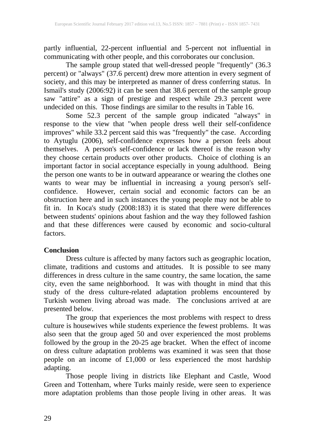partly influential, 22-percent influential and 5-percent not influential in communicating with other people, and this corroborates our conclusion.

The sample group stated that well-dressed people "frequently" (36.3 percent) or "always" (37.6 percent) drew more attention in every segment of society, and this may be interpreted as manner of dress conferring status. In Ismail's study (2006:92) it can be seen that 38.6 percent of the sample group saw "attire" as a sign of prestige and respect while 29.3 percent were undecided on this. Those findings are similar to the results in Table 16.

Some 52.3 percent of the sample group indicated "always" in response to the view that "when people dress well their self-confidence improves" while 33.2 percent said this was "frequently" the case. According to Aytuglu (2006), self-confidence expresses how a person feels about themselves. A person's self-confidence or lack thereof is the reason why they choose certain products over other products. Choice of clothing is an important factor in social acceptance especially in young adulthood. Being the person one wants to be in outward appearance or wearing the clothes one wants to wear may be influential in increasing a young person's selfconfidence. However, certain social and economic factors can be an obstruction here and in such instances the young people may not be able to fit in. In Koca's study (2008:183) it is stated that there were differences between students' opinions about fashion and the way they followed fashion and that these differences were caused by economic and socio-cultural factors.

### **Conclusion**

Dress culture is affected by many factors such as geographic location, climate, traditions and customs and attitudes. It is possible to see many differences in dress culture in the same country, the same location, the same city, even the same neighborhood. It was with thought in mind that this study of the dress culture-related adaptation problems encountered by Turkish women living abroad was made. The conclusions arrived at are presented below.

The group that experiences the most problems with respect to dress culture is housewives while students experience the fewest problems. It was also seen that the group aged 50 and over experienced the most problems followed by the group in the 20-25 age bracket. When the effect of income on dress culture adaptation problems was examined it was seen that those people on an income of £1,000 or less experienced the most hardship adapting.

Those people living in districts like Elephant and Castle, Wood Green and Tottenham, where Turks mainly reside, were seen to experience more adaptation problems than those people living in other areas. It was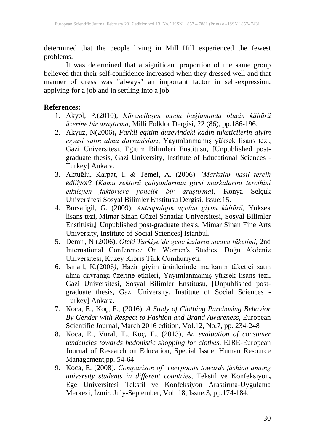determined that the people living in Mill Hill experienced the fewest problems.

It was determined that a significant proportion of the same group believed that their self-confidence increased when they dressed well and that manner of dress was "always" an important factor in self-expression, applying for a job and in settling into a job.

#### **References:**

- 1. Akyol, P.(2010), *Küreselleşen moda bağlamında blucin kültürü üzerine bir araştırma*, Milli Folklor Dergisi, 22 (86), pp.186-196.
- 2. Akyuz, N(2006)**,** *Farkli egitim duzeyindeki kadin tuketicilerin giyim esyasi satin alma davranisları*, Yayımlanmamış yüksek lisans tezi, Gazi Universitesi, Egitim Bilimleri Enstitusu, [Unpublished postgraduate thesis, Gazi University, Institute of Educational Sciences - Turkey] Ankara.
- 3. Aktuğlu, Karpat, I. & Temel, A. (2006) *"Markalar nasıl tercih ediliyor*? (*Kamu sektorü çalışanlarının giysi markalarını tercihini etkileyen faktörlere yönelik bir araştırma*), Konya Selçuk Universitesi Sosyal Bilimler Enstitusu Dergisi, Issue:15.
- 4. Bursaligil, G. (2009), *Antropolojik açıdan giyim kültürü,* Yüksek lisans tezi, Mimar Sinan Güzel Sanatlar Universitesi, Sosyal Bilimler Enstitüsü,[ Unpublished post-graduate thesis, Mimar Sinan Fine Arts University, Institute of Social Sciences] Istanbul.
- 5. Demir, N (2006), *Oteki Turkiye'de genc kızların medya tüketimi*, 2nd International Conference On Women's Studies, Doğu Akdeniz Universitesi, Kuzey Kıbrıs Türk Cumhuriyeti.
- 6. Ismail, K.(2006*),* Hazir giyim ürünlerinde markanın tüketici satın alma davranışı üzerine etkileri, Yayımlanmamış yüksek lisans tezi, Gazi Universitesi, Sosyal Bilimler Enstitusu, [Unpublished postgraduate thesis, Gazi University, Institute of Social Sciences - Turkey] Ankara.
- 7. Koca, E., Koç, F., (2016), *A Study of Clothing Purchasing Behavior By Gender with Respect to Fashion and Brand Awareness*, European Scientific Journal, March 2016 edition, Vol.12, No.7, pp. 234-248
- 8. Koca, E., Vural, T., Koç, F., (2013), *An evaluation of consumer tendencies towards hedonistic shopping for clothes*, EJRE-European Journal of Research on Education, Special Issue: Human Resource Management,pp. 54-64
- 9. Koca, E. (2008). *Comparison of viewpoınts towards fashion among university students in different countries,* Tekstil ve Konfeksiyon**,** Ege Universitesi Tekstil ve Konfeksiyon Arastirma-Uygulama Merkezi, İzmir, July-September, Vol: 18, Issue:3, pp.174-184.